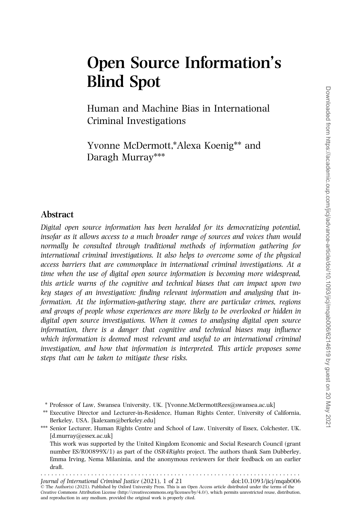# Open Source Information's Blind Spot

Human and Machine Bias in International Criminal Investigations

Yvonne McDermott,\*Alexa Koenig\*\* and Daragh Murray\*\*\*

## Abstract

Digital open source information has been heralded for its democratizing potential, insofar as it allows access to a much broader range of sources and voices than would normally be consulted through traditional methods of information gathering for international criminal investigations. It also helps to overcome some of the physical access barriers that are commonplace in international criminal investigations. At a time when the use of digital open source information is becoming more widespread, this article warns of the cognitive and technical biases that can impact upon two key stages of an investigation: finding relevant information and analysing that information. At the information-gathering stage, there are particular crimes, regions and groups of people whose experiences are more likely to be overlooked or hidden in digital open source investigations. When it comes to analysing digital open source information, there is a danger that cognitive and technical biases may influence which information is deemed most relevant and useful to an international criminal investigation, and how that information is interpreted. This article proposes some steps that can be taken to mitigate these risks.

\* Professor of Law, Swansea University, UK. [Yvonne.McDermottRees@swansea.ac.uk]

\*\* Executive Director and Lecturer-in-Residence, Human Rights Center, University of California, Berkeley, USA. [kalexam@berkeley.edu]

\*\*\* Senior Lecturer, Human Rights Centre and School of Law, University of Essex, Colchester, UK. [d.murray@essex.ac.uk]

This work was supported by the United Kingdom Economic and Social Research Council (grant number ES/R00899X/1) as part of the OSR4Rights project. The authors thank Sam Dubberley, Emma Irving, Nema Milaninia, and the anonymous reviewers for their feedback on an earlier draft. ........................................................................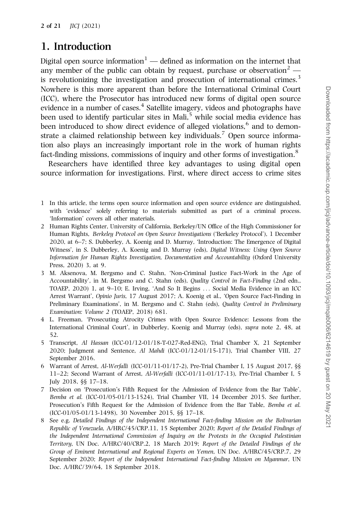# 1. Introduction

Digital open source information<sup>1</sup> — defined as information on the internet that any member of the public can obtain by request, purchase or observation<sup>2</sup> is revolutionizing the investigation and prosecution of international crimes.<sup>3</sup> Nowhere is this more apparent than before the International Criminal Court (ICC), where the Prosecutor has introduced new forms of digital open source evidence in a number of cases.<sup>4</sup> Satellite imagery, videos and photographs have been used to identify particular sites in Mali, $<sup>5</sup>$  while social media evidence has</sup> been introduced to show direct evidence of alleged violations,<sup>6</sup> and to demonstrate a claimed relationship between key individuals.<sup>7</sup> Open source information also plays an increasingly important role in the work of human rights fact-finding missions, commissions of inquiry and other forms of investigation.<sup>8</sup>

Researchers have identified three key advantages to using digital open source information for investigations. First, where direct access to crime sites

- 1 In this article, the terms open source information and open source evidence are distinguished, with 'evidence' solely referring to materials submitted as part of a criminal process. 'Information' covers all other materials.
- 2 Human Rights Center, University of California, Berkeley/UN Office of the High Commissioner for Human Rights, Berkeley Protocol on Open Source Investigations ('Berkeley Protocol'), 1 December 2020, at 6–7; S. Dubberley, A. Koenig and D. Murray, 'Introduction: The Emergence of Digital Witness', in S. Dubberley, A. Koenig and D. Murray (eds), Digital Witness: Using Open Source Information for Human Rights Investigation, Documentation and Accountability (Oxford University Press, 2020) 3, at 9.
- 3 M. Aksenova, M. Bergsmo and C. Stahn, 'Non-Criminal Justice Fact-Work in the Age of Accountability', in M. Bergsmo and C. Stahn (eds), Quality Control in Fact-Finding (2nd edn., TOAEP, 2020) 1, at 9–10; E. Irving, 'And So It Begins ... Social Media Evidence in an ICC Arrest Warrant', Opinio Juris, 17 August 2017; A. Koenig et al., 'Open Source Fact-Finding in Preliminary Examinations', in M. Bergsmo and C. Stahn (eds), Quality Control in Preliminary Examination: Volume 2 (TOAEP, 2018) 681.
- 4 L. Freeman, 'Prosecuting Atrocity Crimes with Open Source Evidence: Lessons from the International Criminal Court', in Dubberley, Koenig and Murray (eds), supra note 2, 48, at 52.
- 5 Transcript, Al Hassan (ICC-01/12-01/18-T-027-Red-ENG), Trial Chamber X, 21 September 2020; Judgment and Sentence, Al Mahdi (ICC-01/12-01/15-171), Trial Chamber VIII, 27 September 2016.
- 6 Warrant of Arrest, Al-Werfalli (ICC-01/11-01/17-2), Pre-Trial Chamber I, 15 August 2017, §§ 11–22; Second Warrant of Arrest, Al-Werfalli (ICC-01/11-01/17-13), Pre-Trial Chamber I, 5 July 2018, §§ 17–18.
- 7 Decision on 'Prosecution's Fifth Request for the Admission of Evidence from the Bar Table', Bemba et al. (ICC-01/05-01/13-1524), Trial Chamber VII, 14 December 2015. See further, Prosecution's Fifth Request for the Admission of Evidence from the Bar Table, Bemba et al. (ICC-01/05-01/13-1498), 30 November 2015, §§ 17–18.
- 8 See e.g. Detailed Findings of the Independent International Fact-finding Mission on the Bolivarian Republic of Venezuela, A/HRC/45/CRP.11, 15 September 2020; Report of the Detailed Findings of the Independent International Commission of Inquiry on the Protests in the Occupied Palestinian Territory, UN Doc. A/HRC/40/CRP.2, 18 March 2019; Report of the Detailed Findings of the Group of Eminent International and Regional Experts on Yemen, UN Doc. A/HRC/45/CRP.7, 29 September 2020; Report of the Independent International Fact-finding Mission on Myanmar, UN Doc. A/HRC/39/64, 18 September 2018.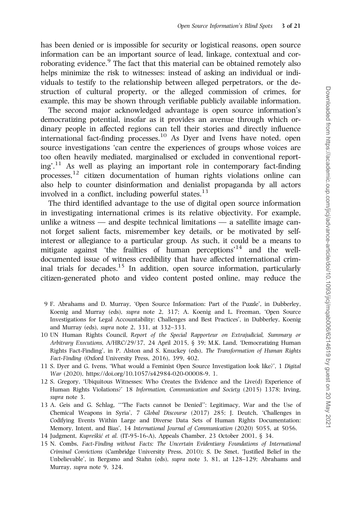has been denied or is impossible for security or logistical reasons, open source information can be an important source of lead, linkage, contextual and corroborating evidence.<sup>9</sup> The fact that this material can be obtained remotely also helps minimize the risk to witnesses: instead of asking an individual or individuals to testify to the relationship between alleged perpetrators, or the destruction of cultural property, or the alleged commission of crimes, for example, this may be shown through verifiable publicly available information.

The second major acknowledged advantage is open source information's democratizing potential, insofar as it provides an avenue through which ordinary people in affected regions can tell their stories and directly influence international fact-finding processes.<sup>10</sup> As Dyer and Ivens have noted, open source investigations 'can centre the experiences of groups whose voices are too often heavily mediated, marginalised or excluded in conventional report $ing<sup>'11</sup>$  As well as playing an important role in contemporary fact-finding processes,<sup>12</sup> citizen documentation of human rights violations online can also help to counter disinformation and denialist propaganda by all actors involved in a conflict, including powerful states.<sup>13</sup>

The third identified advantage to the use of digital open source information in investigating international crimes is its relative objectivity. For example, unlike a witness — and despite technical limitations — a satellite image cannot forget salient facts, misremember key details, or be motivated by selfinterest or allegiance to a particular group. As such, it could be a means to mitigate against 'the frailties of human perceptions'<sup>14</sup> and the welldocumented issue of witness credibility that have affected international criminal trials for decades.<sup>15</sup> In addition, open source information, particularly citizen-generated photo and video content posted online, may reduce the

- 9 F. Abrahams and D. Murray, 'Open Source Information: Part of the Puzzle', in Dubberley, Koenig and Murray (eds), supra note 2, 317; A. Koenig and L. Freeman, 'Open Source Investigations for Legal Accountability: Challenges and Best Practices', in Dubberley, Koenig and Murray (eds), supra note 2, 331, at 332–333.
- 10 UN Human Rights Council, Report of the Special Rapporteur on Extrajudicial, Summary or Arbitrary Executions, A/HRC/29/37, 24 April 2015, § 39; M.K. Land, 'Democratizing Human Rights Fact-Finding', in P. Alston and S. Knuckey (eds), The Transformation of Human Rights Fact-Finding (Oxford University Press, 2016), 399, 402.
- 11 S. Dyer and G. Ivens, 'What would a Feminist Open Source Investigation look like?', 1 Digital War (2020),<https://doi.org/10.1057/s42984-020-00008-9>, 1.
- 12 S. Gregory, 'Ubiquitous Witnesses: Who Creates the Evidence and the Live(d) Experience of Human Rights Violations?' 18 Information, Communication and Society (2015) 1378; Irving, supra note 3.
- 13 A. Geis and G. Schlag, '''The Facts cannot be Denied'': Legitimacy, War and the Use of Chemical Weapons in Syria', 7 Global Discourse (2017) 285; J. Deutch, 'Challenges in Codifying Events Within Large and Diverse Data Sets of Human Rights Documentation: Memory, Intent, and Bias', 14 International Journal of Communication (2020) 5055, at 5056.
- 14 Judgment, Kupreškić et al. (IT-95-16-A), Appeals Chamber, 23 October 2001, § 34.
- 15 N. Combs, Fact-Finding without Facts: The Uncertain Evidentiary Foundations of International Criminal Convictions (Cambridge University Press, 2010); S. De Smet, 'Justified Belief in the Unbelievable', in Bergsmo and Stahn (eds), supra note 3, 81, at 128–129; Abrahams and Murray, supra note 9, 324.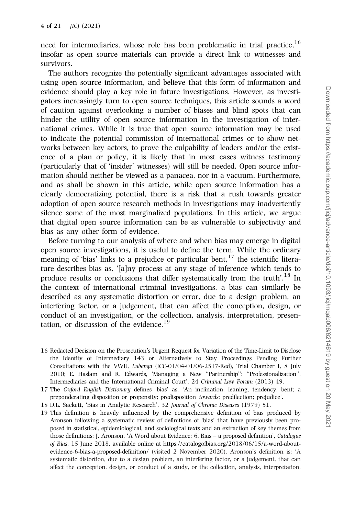need for intermediaries, whose role has been problematic in trial practice, $16$ insofar as open source materials can provide a direct link to witnesses and survivors.

The authors recognize the potentially significant advantages associated with using open source information, and believe that this form of information and evidence should play a key role in future investigations. However, as investigators increasingly turn to open source techniques, this article sounds a word of caution against overlooking a number of biases and blind spots that can hinder the utility of open source information in the investigation of international crimes. While it is true that open source information may be used to indicate the potential commission of international crimes or to show networks between key actors, to prove the culpability of leaders and/or the existence of a plan or policy, it is likely that in most cases witness testimony (particularly that of 'insider' witnesses) will still be needed. Open source information should neither be viewed as a panacea, nor in a vacuum. Furthermore, and as shall be shown in this article, while open source information has a clearly democratizing potential, there is a risk that a rush towards greater adoption of open source research methods in investigations may inadvertently silence some of the most marginalized populations. In this article, we argue that digital open source information can be as vulnerable to subjectivity and bias as any other form of evidence.

Before turning to our analysis of where and when bias may emerge in digital open source investigations, it is useful to define the term. While the ordinary meaning of 'bias' links to a prejudice or particular bent,  $17$  the scientific literature describes bias as, '[a]ny process at any stage of inference which tends to produce results or conclusions that differ systematically from the truth'.<sup>18</sup> In the context of international criminal investigations, a bias can similarly be described as any systematic distortion or error, due to a design problem, an interfering factor, or a judgement, that can affect the conception, design, or conduct of an investigation, or the collection, analysis, interpretation, presentation, or discussion of the evidence.<sup>19</sup>

- 16 Redacted Decision on the Prosecution's Urgent Request for Variation of the Time-Limit to Disclose the Identity of Intermediary 143 or Alternatively to Stay Proceedings Pending Further Consultations with the VWU, Lubanga (ICC-01/04-01/06-2517-Red), Trial Chamber I, 8 July 2010; E. Haslam and R. Edwards, 'Managing a New ''Partnership'': ''Professionalization'', Intermediaries and the International Criminal Court', 24 Criminal Law Forum (2013) 49.
- 17 The Oxford English Dictionary defines 'bias' as, 'An inclination, leaning, tendency, bent; a preponderating disposition or propensity; predisposition towards; predilection; prejudice'.
- 18 D.L. Sackett, 'Bias in Analytic Research', 32 Journal of Chronic Diseases (1979) 51.
- 19 This definition is heavily influenced by the comprehensive definition of bias produced by Aronson following a systematic review of definitions of 'bias' that have previously been proposed in statistical, epidemiological, and sociological texts and an extraction of key themes from those definitions: J. Aronson, 'A Word about Evidence: 6. Bias – a proposed definition', Catalogue of Bias, 15 June 2018, available online at [https://catalogofbias.org/2018/06/15/a-word-about](https://catalogofbias.org/2018/06/15/a-word-about-evidence-6-bias-a-proposed-definition/)[evidence-6-bias-a-proposed-definition/](https://catalogofbias.org/2018/06/15/a-word-about-evidence-6-bias-a-proposed-definition/) (visited 2 November 2020). Aronson's definition is: 'A systematic distortion, due to a design problem, an interfering factor, or a judgement, that can affect the conception, design, or conduct of a study, or the collection, analysis, interpretation,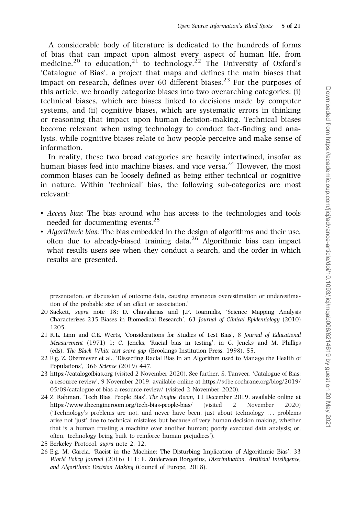A considerable body of literature is dedicated to the hundreds of forms of bias that can impact upon almost every aspect of human life, from medicine,<sup>20</sup> to education,<sup>21</sup> to technology.<sup>22</sup> The University of Oxford's 'Catalogue of Bias', a project that maps and defines the main biases that impact on research, defines over 60 different biases.<sup>23</sup> For the purposes of this article, we broadly categorize biases into two overarching categories: (i) technical biases, which are biases linked to decisions made by computer systems, and (ii) cognitive biases, which are systematic errors in thinking or reasoning that impact upon human decision-making. Technical biases become relevant when using technology to conduct fact-finding and analysis, while cognitive biases relate to how people perceive and make sense of information.

In reality, these two broad categories are heavily intertwined, insofar as human biases feed into machine biases, and vice versa.<sup>24</sup> However, the most common biases can be loosely defined as being either technical or cognitive in nature. Within 'technical' bias, the following sub-categories are most relevant:

- Access bias: The bias around who has access to the technologies and tools needed for documenting events.<sup>25</sup>
- Algorithmic bias: The bias embedded in the design of algorithms and their use, often due to already-biased training data.<sup>26</sup> Algorithmic bias can impact what results users see when they conduct a search, and the order in which results are presented.

presentation, or discussion of outcome data, causing erroneous overestimation or underestimation of the probable size of an effect or association.'

<sup>20</sup> Sackett, supra note 18; D. Chavalarias and J.P. Ioannidis, 'Science Mapping Analysis Characterizes 235 Biases in Biomedical Research', 63 Journal of Clinical Epidemiology (2010) 1205.

<sup>21</sup> R.L. Linn and C.E. Werts, 'Considerations for Studies of Test Bias', 8 Journal of Educational Measurement (1971) 1; C. Jencks, 'Racial bias in testing', in C. Jencks and M. Phillips (eds), The Black–White test score gap (Brookings Institution Press, 1998), 55.

<sup>22</sup> E.g. Z. Obermeyer et al., 'Dissecting Racial Bias in an Algorithm used to Manage the Health of Populations', 366 Science (2019) 447.

<sup>23</sup><https://catalogofbias.org> (visited 2 November 2020). See further, S. Tanveer, 'Catalogue of Bias: a resource review', 9 November 2019, available online at [https://s4be.cochrane.org/blog/2019/](https://s4be.cochrane.org/blog/2019/05/09/catalogue-of-bias-a-resource-review/) [05/09/catalogue-of-bias-a-resource-review/](https://s4be.cochrane.org/blog/2019/05/09/catalogue-of-bias-a-resource-review/) (visited 2 November 2020).

<sup>24</sup> Z. Rahman, 'Tech Bias, People Bias', The Engine Room, 11 December 2019, available online at <https://www.theengineroom.org/tech-bias-people-bias/> (visited 2 November 2020) ('Technology's problems are not, and never have been, just about technology ... problems arise not 'just' due to technical mistakes but because of very human decision making, whether that is a human trusting a machine over another human; poorly executed data analysis; or, often, technology being built to reinforce human prejudices').

<sup>25</sup> Berkeley Protocol, supra note 2, 12.

<sup>26</sup> E.g. M. Garcia, 'Racist in the Machine: The Disturbing Implication of Algorithmic Bias', 33 World Policy Journal (2016) 111; F. Zuiderveen Borgesius, Discrimination, Artificial Intelligence, and Algorithmic Decision Making (Council of Europe, 2018).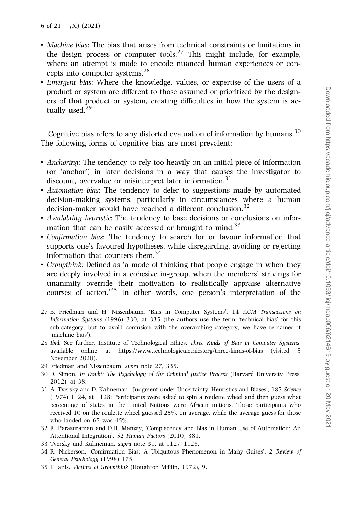- Machine bias: The bias that arises from technical constraints or limitations in the design process or computer tools.<sup>27</sup> This might include, for example, where an attempt is made to encode nuanced human experiences or concepts into computer systems.28
- Emergent bias: Where the knowledge, values, or expertise of the users of a product or system are different to those assumed or prioritized by the designers of that product or system, creating difficulties in how the system is actually used.<sup>29</sup>

Cognitive bias refers to any distorted evaluation of information by humans. $30$ The following forms of cognitive bias are most prevalent:

- Anchoring: The tendency to rely too heavily on an initial piece of information (or 'anchor') in later decisions in a way that causes the investigator to discount, overvalue or misinterpret later information.<sup>31</sup>
- Automation bias: The tendency to defer to suggestions made by automated decision-making systems, particularly in circumstances where a human decision-maker would have reached a different conclusion.<sup>32</sup>
- Availability heuristic: The tendency to base decisions or conclusions on information that can be easily accessed or brought to mind.<sup>33</sup>
- Confirmation bias: The tendency to search for or favour information that supports one's favoured hypotheses, while disregarding, avoiding or rejecting information that counters them.<sup>34</sup>
- Groupthink: Defined as 'a mode of thinking that people engage in when they are deeply involved in a cohesive in-group, when the members' strivings for unanimity override their motivation to realistically appraise alternative courses of action.'<sup>35</sup> In other words, one person's interpretation of the
- 27 B. Friedman and H. Nissenbaum, 'Bias in Computer Systems', 14 ACM Transactions on Information Systems (1996) 330, at 335 (the authors use the term 'technical bias' for this sub-category, but to avoid confusion with the overarching category, we have re-named it 'machine bias').
- 28 Ibid. See further, Institute of Technological Ethics, Three Kinds of Bias in Computer Systems, available online at<https://www.technologicalethics.org/three-kinds-of-bias> (visited 5 November 2020).
- 29 Friedman and Nissenbaum, supra note 27, 335.
- 30 D. Simon, In Doubt: The Psychology of the Criminal Justice Process (Harvard University Press, 2012), at 38.
- 31 A. Tversky and D. Kahneman, 'Judgment under Uncertainty: Heuristics and Biases', 185 Science (1974) 1124, at 1128: Participants were asked to spin a roulette wheel and then guess what percentage of states in the United Nations were African nations. Those participants who received 10 on the roulette wheel guessed 25%, on average, while the average guess for those who landed on 65 was 45%.
- 32 R. Parasuraman and D.H. Manzey, 'Complacency and Bias in Human Use of Automation: An Attentional Integration', 52 Human Factors (2010) 381.
- 33 Tversky and Kahneman, supra note 31, at 1127–1128.
- 34 R. Nickerson, 'Confirmation Bias: A Ubiquitous Phenomenon in Many Guises', 2 Review of General Psychology (1998) 175.
- 35 I. Janis, Victims of Groupthink (Houghton Mifflin, 1972), 9.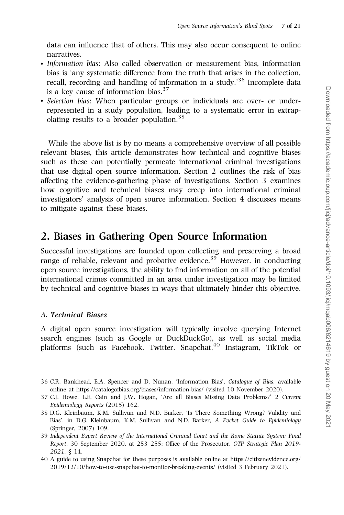data can influence that of others. This may also occur consequent to online narratives.

- Information bias: Also called observation or measurement bias, information bias is 'any systematic difference from the truth that arises in the collection, recall, recording and handling of information in a study.<sup>36</sup> Incomplete data is a key cause of information bias.  $37$
- Selection bias: When particular groups or individuals are over- or underrepresented in a study population, leading to a systematic error in extrapolating results to a broader population.<sup>38</sup>

While the above list is by no means a comprehensive overview of all possible relevant biases, this article demonstrates how technical and cognitive biases such as these can potentially permeate international criminal investigations that use digital open source information. Section 2 outlines the risk of bias affecting the evidence-gathering phase of investigations. Section 3 examines how cognitive and technical biases may creep into international criminal investigators' analysis of open source information. Section 4 discusses means to mitigate against these biases.

# 2. Biases in Gathering Open Source Information

Successful investigations are founded upon collecting and preserving a broad range of reliable, relevant and probative evidence.<sup>39</sup> However, in conducting open source investigations, the ability to find information on all of the potential international crimes committed in an area under investigation may be limited by technical and cognitive biases in ways that ultimately hinder this objective.

## A. Technical Biases

A digital open source investigation will typically involve querying Internet search engines (such as Google or DuckDuckGo), as well as social media platforms (such as Facebook, Twitter, Snapchat,<sup>40</sup> Instagram, TikTok or

- 36 C.R. Bankhead, E.A. Spencer and D. Nunan, 'Information Bias', Catalogue of Bias, available online at<https://catalogofbias.org/biases/information-bias/> (visited 10 November 2020).
- 37 C.J. Howe, L.E. Cain and J.W. Hogan, 'Are all Biases Missing Data Problems?' 2 Current Epidemiology Reports (2015) 162.
- 38 D.G. Kleinbaum, K.M. Sullivan and N.D. Barker, 'Is There Something Wrong? Validity and Bias', in D.G. Kleinbaum, K.M. Sullivan and N.D. Barker, A Pocket Guide to Epidemiology (Springer, 2007) 109.
- 39 Independent Expert Review of the International Criminal Court and the Rome Statute System: Final Report, 30 September 2020, at 253–255; Office of the Prosecutor, OTP Strategic Plan 2019- 2021, § 14.
- 40 A guide to using Snapchat for these purposes is available online at [https://citizenevidence.org/](https://citizenevidence.org/2019/12/10/how-to-use-snapchat-to-monitor-breaking-events/) [2019/12/10/how-to-use-snapchat-to-monitor-breaking-events/](https://citizenevidence.org/2019/12/10/how-to-use-snapchat-to-monitor-breaking-events/) (visited 3 February 2021).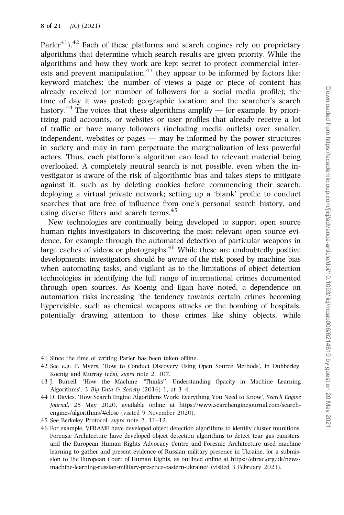Parler<sup>41</sup>).<sup>42</sup> Each of these platforms and search engines rely on proprietary algorithms that determine which search results are given priority. While the algorithms and how they work are kept secret to protect commercial interests and prevent manipulation, $43$  they appear to be informed by factors like: keyword matches; the number of views a page or piece of content has already received (or number of followers for a social media profile); the time of day it was posted; geographic location; and the searcher's search history.<sup>44</sup> The voices that these algorithms amplify — for example, by prioritizing paid accounts, or websites or user profiles that already receive a lot of traffic or have many followers (including media outlets) over smaller, independent, websites or pages — may be informed by the power structures in society and may in turn perpetuate the marginalization of less powerful actors. Thus, each platform's algorithm can lead to relevant material being overlooked. A completely neutral search is not possible, even when the investigator is aware of the risk of algorithmic bias and takes steps to mitigate against it, such as by deleting cookies before commencing their search; deploying a virtual private network; setting up a 'blank' profile to conduct searches that are free of influence from one's personal search history, and using diverse filters and search terms.<sup>45</sup>

New technologies are continually being developed to support open source human rights investigators in discovering the most relevant open source evidence, for example through the automated detection of particular weapons in large caches of videos or photographs. $46$  While these are undoubtedly positive developments, investigators should be aware of the risk posed by machine bias when automating tasks, and vigilant as to the limitations of object detection technologies in identifying the full range of international crimes documented through open sources. As Koenig and Egan have noted, a dependence on automation risks increasing 'the tendency towards certain crimes becoming hypervisible, such as chemical weapons attacks or the bombing of hospitals, potentially drawing attention to those crimes like shiny objects, while

- 41 Since the time of writing Parler has been taken offline.
- 42 See e.g. P. Myers, 'How to Conduct Discovery Using Open Source Methods', in Dubberley, Koenig and Murray (eds), supra note 2, 107.
- 43 J. Burrell, 'How the Machine ''Thinks'': Understanding Opacity in Machine Learning Algorithms', 3 Big Data & Society (2016) 1, at  $3-4$ .
- 44 D. Davies, 'How Search Engine Algorithms Work: Everything You Need to Know', Search Engine Journal, 25 May 2020, available online at [https://www.searchenginejournal.com/search](https://www.searchenginejournal.com/search-engines/algorithms/#close)[engines/algorithms/#close](https://www.searchenginejournal.com/search-engines/algorithms/#close) (visited 9 November 2020).
- 45 See Berkeley Protocol, supra note 2, 11–12.
- 46 For example, VFRAME have developed object detection algorithms to identify cluster munitions, Forensic Architecture have developed object detection algorithms to detect tear gas canisters, and the European Human Rights Advocacy Centre and Foresnic Architecture used machine learning to gather and present evidence of Russian military presence in Ukraine, for a submission to the European Court of Human Rights, as outlined online at [https://ehrac.org.uk/news/](https://ehrac.org.uk/news/machine-learning-russian-military-presence-eastern-ukraine/) [machine-learning-russian-military-presence-eastern-ukraine/](https://ehrac.org.uk/news/machine-learning-russian-military-presence-eastern-ukraine/) (visited 3 February 2021).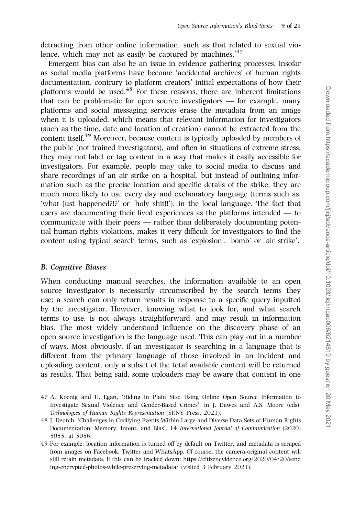detracting from other online information, such as that related to sexual violence, which may not as easily be captured by machines.<sup>'47</sup>

Emergent bias can also be an issue in evidence gathering processes, insofar as social media platforms have become 'accidental archives' of human rights documentation, contrary to platform creators' initial expectations of how their platforms would be used. $48$  For these reasons, there are inherent limitations that can be problematic for open source investigators — for example, many platforms and social messaging services erase the metadata from an image when it is uploaded, which means that relevant information for investigators (such as the time, date and location of creation) cannot be extracted from the content itself.<sup>49</sup> Moreover, because content is typically uploaded by members of the public (not trained investigators), and often in situations of extreme stress, they may not label or tag content in a way that makes it easily accessible for investigators. For example, people may take to social media to discuss and share recordings of an air strike on a hospital, but instead of outlining information such as the precise location and specific details of the strike, they are much more likely to use every day and exclamatory language (terms such as, 'what just happened?!?' or 'holy shit!!'), in the local language. The fact that users are documenting their lived experiences as the platforms intended — to communicate with their peers — rather than deliberately documenting potential human rights violations, makes it very difficult for investigators to find the content using typical search terms, such as 'explosion', 'bomb' or 'air strike'.

## B. Cognitive Biases

When conducting manual searches, the information available to an open source investigator is necessarily circumscribed by the search terms they use: a search can only return results in response to a specific query inputted by the investigator. However, knowing what to look for, and what search terms to use, is not always straightforward, and may result in information bias. The most widely understood influence on the discovery phase of an open source investigation is the language used. This can play out in a number of ways. Most obviously, if an investigator is searching in a language that is different from the primary language of those involved in an incident and uploading content, only a subset of the total available content will be returned as results. That being said, some uploaders may be aware that content in one

- 47 A. Koenig and U. Egan, 'Hiding in Plain Site: Using Online Open Source Information to Investigate Sexual Violence and Gender-Based Crimes', in J. Dawes and A.S. Moore (eds), Technologies of Human Rights Representation (SUNY Press, 2021).
- 48 J. Deutch, 'Challenges in Codifying Events Within Large and Diverse Data Sets of Human Rights Documentation: Memory, Intent, and Bias', 14 International Journal of Communication (2020) 5055, at 5056.
- 49 For example, location information is turned off by default on Twitter, and metadata is scraped from images on Facebook, Twitter and WhatsApp. Of course, the camera-original content will still retain metadata, if this can be tracked down: [https://citizenevidence.org/2020/04/20/send](https://citizenevidence.org/2020/04/20/sending-encrypted-photos-while-preserving-metadata/) [ing-encrypted-photos-while-preserving-metadata/](https://citizenevidence.org/2020/04/20/sending-encrypted-photos-while-preserving-metadata/) (visited 3 February 2021).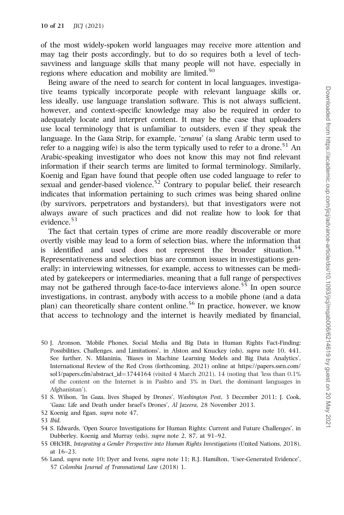of the most widely-spoken world languages may receive more attention and may tag their posts accordingly, but to do so requires both a level of techsavviness and language skills that many people will not have, especially in regions where education and mobility are limited.<sup>50</sup>

Being aware of the need to search for content in local languages, investigative teams typically incorporate people with relevant language skills or, less ideally, use language translation software. This is not always sufficient, however, and context-specific knowledge may also be required in order to adequately locate and interpret content. It may be the case that uploaders use local terminology that is unfamiliar to outsiders, even if they speak the language. In the Gaza Strip, for example, 'zenana' (a slang Arabic term used to refer to a nagging wife) is also the term typically used to refer to a drone.<sup>51</sup> An Arabic-speaking investigator who does not know this may not find relevant information if their search terms are limited to formal terminology. Similarly, Koenig and Egan have found that people often use coded language to refer to sexual and gender-based violence.<sup>52</sup> Contrary to popular belief, their research indicates that information pertaining to such crimes was being shared online (by survivors, perpetrators and bystanders), but that investigators were not always aware of such practices and did not realize how to look for that evidence.<sup>53</sup>

The fact that certain types of crime are more readily discoverable or more overtly visible may lead to a form of selection bias, where the information that is identified and used does not represent the broader situation.<sup>54</sup> Representativeness and selection bias are common issues in investigations generally; in interviewing witnesses, for example, access to witnesses can be mediated by gatekeepers or intermediaries, meaning that a full range of perspectives may not be gathered through face-to-face interviews alone.<sup>55</sup> In open source investigations, in contrast, anybody with access to a mobile phone (and a data plan) can theoretically share content online.<sup>56</sup> In practice, however, we know that access to technology and the internet is heavily mediated by financial,

50 J. Aronson, 'Mobile Phones, Social Media and Big Data in Human Rights Fact-Finding: Possibilities, Challenges, and Limitations', in Alston and Knuckey (eds), supra note 10, 441. See further, N. Milaninia, 'Biases in Machine Learning Models and Big Data Analytics', International Review of the Red Cross (forthcoming, 2021) online at [https://papers.ssrn.com/](https://papers.ssrn.com/sol3/papers.cfm?abstract_id=3744164) [sol3/papers.cfm?abstract\\_id](https://papers.ssrn.com/sol3/papers.cfm?abstract_id=3744164)=[3744164](https://papers.ssrn.com/sol3/papers.cfm?abstract_id=3744164) (visited 4 March 2021), 14 (noting that 'less than  $0.1\%$ of the content on the Internet is in Pashto and 3% in Dari, the dominant languages in Afghanistan').

51 S. Wilson, 'In Gaza, lives Shaped by Drones', Washington Post, 3 December 2011; J. Cook, 'Gaza: Life and Death under Israel's Drones', Al Jazeera, 28 November 2013.

52 Koenig and Egan, supra note 47.

- 54 S. Edwards, 'Open Source Investigations for Human Rights: Current and Future Challenges', in Dubberley, Koenig and Murray (eds), supra note 2, 87, at 91–92.
- 55 OHCHR, Integrating a Gender Perspective into Human Rights Investigations (United Nations, 2018), at 16–23.
- 56 Land, supra note 10; Dyer and Ivens, supra note 11; R.J. Hamilton, 'User-Generated Evidence', 57 Colombia Journal of Transnational Law (2018) 1.

<sup>53</sup> Ibid.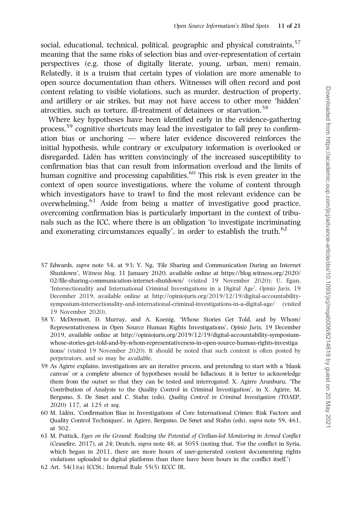social, educational, technical, political, geographic and physical constraints.<sup>57</sup> meaning that the same risks of selection bias and over-representation of certain perspectives (e.g. those of digitally literate, young, urban, men) remain. Relatedly, it is a truism that certain types of violation are more amenable to open source documentation than others. Witnesses will often record and post content relating to visible violations, such as murder, destruction of property, and artillery or air strikes, but may not have access to other more 'hidden' atrocities, such as torture, ill-treatment of detainees or starvation.<sup>58</sup>

Where key hypotheses have been identified early in the evidence-gathering process,  $59$  cognitive shortcuts may lead the investigator to fall prey to confirmation bias or anchoring — where later evidence discovered reinforces the initial hypothesis, while contrary or exculpatory information is overlooked or disregarded. Lidén has written convincingly of the increased susceptibility to confirmation bias that can result from information overload and the limits of human cognitive and processing capabilities.<sup>60</sup> This risk is even greater in the context of open source investigations, where the volume of content through which investigators have to trawl to find the most relevant evidence can be overwhelming.61 Aside from being a matter of investigative good practice, overcoming confirmation bias is particularly important in the context of tribunals such as the ICC, where there is an obligation 'to investigate incriminating and exonerating circumstances equally', in order to establish the truth.<sup>62</sup>

- 57 Edwards, supra note 54, at 93; Y. Ng, 'File Sharing and Communication During an Internet Shutdown', Witness blog, 31 January 2020, available online at [https://blog.witness.org/2020/](https://blog.witness.org/2020/02/file-sharing-communication-internet-shutdown/) [02/file-sharing-communication-internet-shutdown/](https://blog.witness.org/2020/02/file-sharing-communication-internet-shutdown/) (visited 19 November 2020); U. Egan, 'Intersectionality and International Criminal Investigations in a Digital Age', Opinio Juris, 19 December 2019, available online at [http://opiniojuris.org/2019/12/19/digital-accountability](http://opiniojuris.org/2019/12/19/digital-accountability-symposium-intersectionality-and-international-criminal-investigations-in-a-digital-age/)[symposium-intersectionality-and-international-criminal-investigations-in-a-digital-age/](http://opiniojuris.org/2019/12/19/digital-accountability-symposium-intersectionality-and-international-criminal-investigations-in-a-digital-age/) (visited 19 November 2020).
- 58 Y. McDermott, D. Murray, and A. Koenig, 'Whose Stories Get Told, and by Whom? Representativeness in Open Source Human Rights Investigations', Opinio Juris, 19 December 2019, available online at [http://opiniojuris.org/2019/12/19/digital-accountability-symposium](http://opiniojuris.org/2019/12/19/digital-accountability-symposium-whose-stories-get-told-and-by-whom-representativeness-in-open-source-human-rights-investigations/)[whose-stories-get-told-and-by-whom-representativeness-in-open-source-human-rights-investiga](http://opiniojuris.org/2019/12/19/digital-accountability-symposium-whose-stories-get-told-and-by-whom-representativeness-in-open-source-human-rights-investigations/) [tions/](http://opiniojuris.org/2019/12/19/digital-accountability-symposium-whose-stories-get-told-and-by-whom-representativeness-in-open-source-human-rights-investigations/) (visited 19 November 2020). It should be noted that such content is often posted by perpetrators, and so may be available,
- 59 As Agirre explains, investigations are an iterative process, and pretending to start with a 'blank canvas' or a complete absence of hypotheses would be fallacious; it is better to acknowledge them from the outset so that they can be tested and interrogated: X. Agirre Aranburu, 'The Contribution of Analysis to the Quality Control in Criminal Investigation', in X. Agirre, M. Bergsmo, S. De Smet and C. Stahn (eds), Quality Control in Criminal Investigation (TOAEP, 2020) 117, at 125 et seq.
- 60 M. Lide´n, 'Confirmation Bias in Investigations of Core International Crimes: Risk Factors and Quality Control Techniques', in Agirre, Bergsmo, De Smet and Stahn (eds), supra note 59, 461, at 502.
- 61 M. Puttick, Eyes on the Ground: Realizing the Potential of Civilian-led Monitoring in Armed Conflict (Ceasefire, 2017), at 24; Deutch, supra note 48, at 5055 (noting that, 'For the conflict in Syria, which began in 2011, there are more hours of user-generated content documenting rights violations uploaded to digital platforms than there have been hours in the conflict itself.')
- 62 Art. 54(1)(a) ICCSt.; Internal Rule 55(5) ECCC IR.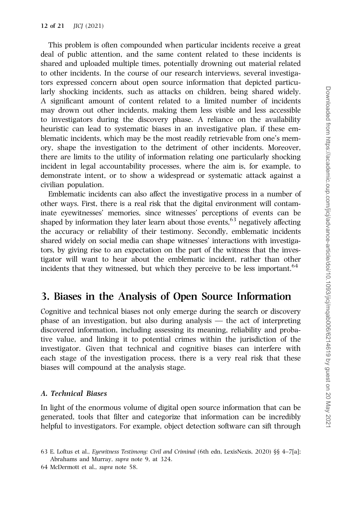This problem is often compounded when particular incidents receive a great deal of public attention, and the same content related to these incidents is shared and uploaded multiple times, potentially drowning out material related to other incidents. In the course of our research interviews, several investigators expressed concern about open source information that depicted particularly shocking incidents, such as attacks on children, being shared widely. A significant amount of content related to a limited number of incidents may drown out other incidents, making them less visible and less accessible to investigators during the discovery phase. A reliance on the availability heuristic can lead to systematic biases in an investigative plan, if these emblematic incidents, which may be the most readily retrievable from one's memory, shape the investigation to the detriment of other incidents. Moreover, there are limits to the utility of information relating one particularly shocking incident in legal accountability processes, where the aim is, for example, to demonstrate intent, or to show a widespread or systematic attack against a civilian population.

Emblematic incidents can also affect the investigative process in a number of other ways. First, there is a real risk that the digital environment will contaminate eyewitnesses' memories, since witnesses' perceptions of events can be shaped by information they later learn about those events, $63$  negatively affecting the accuracy or reliability of their testimony. Secondly, emblematic incidents shared widely on social media can shape witnesses' interactions with investigators, by giving rise to an expectation on the part of the witness that the investigator will want to hear about the emblematic incident, rather than other incidents that they witnessed, but which they perceive to be less important.<sup>64</sup>

## 3. Biases in the Analysis of Open Source Information

Cognitive and technical biases not only emerge during the search or discovery phase of an investigation, but also during analysis — the act of interpreting discovered information, including assessing its meaning, reliability and probative value, and linking it to potential crimes within the jurisdiction of the investigator. Given that technical and cognitive biases can interfere with each stage of the investigation process, there is a very real risk that these biases will compound at the analysis stage.

#### A. Technical Biases

In light of the enormous volume of digital open source information that can be generated, tools that filter and categorize that information can be incredibly helpful to investigators. For example, object detection software can sift through

<sup>63</sup> E. Loftus et al., Eyewitness Testimony: Civil and Criminal (6th edn, LexisNexis, 2020) §§ 4–7[a]; Abrahams and Murray, supra note 9, at 324.

<sup>64</sup> McDermott et al., supra note 58.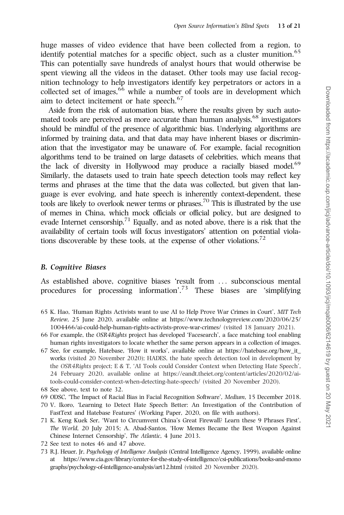huge masses of video evidence that have been collected from a region, to identify potential matches for a specific object, such as a cluster munition.<sup>65</sup> This can potentially save hundreds of analyst hours that would otherwise be spent viewing all the videos in the dataset. Other tools may use facial recognition technology to help investigators identify key perpetrators or actors in a collected set of images, <sup>66</sup> while a number of tools are in development which aim to detect incitement or hate speech.<sup>67</sup>

Aside from the risk of automation bias, where the results given by such automated tools are perceived as more accurate than human analysis.<sup>68</sup> investigators should be mindful of the presence of algorithmic bias. Underlying algorithms are informed by training data, and that data may have inherent biases or discrimination that the investigator may be unaware of. For example, facial recognition algorithms tend to be trained on large datasets of celebrities, which means that the lack of diversity in Hollywood may produce a racially biased model.<sup>69</sup> Similarly, the datasets used to train hate speech detection tools may reflect key terms and phrases at the time that the data was collected, but given that language is ever evolving, and hate speech is inherently context-dependent, these tools are likely to overlook newer terms or phrases.<sup>70</sup> This is illustrated by the use of memes in China, which mock officials or official policy, but are designed to evade Internet censorship.<sup>71</sup> Equally, and as noted above, there is a risk that the availability of certain tools will focus investigators' attention on potential violations discoverable by these tools, at the expense of other violations.<sup>72</sup>

#### B. Cognitive Biases

As established above, cognitive biases 'result from ... subconscious mental procedures for processing information'.<sup>73</sup> These biases are 'simplifying

- 65 K. Hao, 'Human Rights Activists want to use AI to Help Prove War Crimes in Court', MIT Tech Review, 25 June 2020, available online at [https://www.technologyreview.com/2020/06/25/](https://www.technologyreview.com/2020/06/25/1004466/ai-could-help-human-rights-activists-prove-war-crimes/) [1004466/ai-could-help-human-rights-activists-prove-war-crimes/](https://www.technologyreview.com/2020/06/25/1004466/ai-could-help-human-rights-activists-prove-war-crimes/) (visited 18 January 2021).
- 66 For example, the OSR4Rights project has developed 'Facesearch', a face matching tool enabling human rights investigators to locate whether the same person appears in a collection of images.
- 67 See, for example, Hatebase, 'How it works', available online at [https://hatebase.org/how\\_it\\_](https://hatebase.org/how_it_works) [works](https://hatebase.org/how_it_works) (visited 20 November 2020); HADES, the hate speech detection tool in development by the OSR4Rights project; E & T, 'AI Tools could Consider Context when Detecting Hate Speech', 24 February 2020, available online at [https://eandt.theiet.org/content/articles/2020/02/ai](https://eandt.theiet.org/content/articles/2020/02/ai-tools-could-consider-context-when-detecting-hate-speech/)[tools-could-consider-context-when-detecting-hate-speech/](https://eandt.theiet.org/content/articles/2020/02/ai-tools-could-consider-context-when-detecting-hate-speech/) (visited 20 November 2020).
- 68 See above, text to note 32.
- 69 ODSC, 'The Impact of Racial Bias in Facial Recognition Software', Medium, 15 December 2018.
- 70 V. Ikoro, 'Learning to Detect Hate Speech Better: An Investigation of the Contribution of FastText and Hatebase Features' (Working Paper, 2020, on file with authors).
- 71 K. Keng Kuek Ser, 'Want to Circumvent China's Great Firewall? Learn these 9 Phrases First', The World, 20 July 2015; A. Abad-Santos, 'How Memes Became the Best Weapon Against Chinese Internet Censorship', The Atlantic, 4 June 2013.
- 72 See text to notes 46 and 47 above.
- 73 R.J. Heuer, Jr, Psychology of Intelligence Analysis (Central Intelligence Agency, 1999), available online at [https://www.cia.gov/library/center-for-the-study-of-intelligence/csi-publications/books-and-mono](https://www.cia.gov/library/center-for-the-study-of-intelligence/csi-publications/books-and-monographs/psychology-of-intelligence-analysis/art12.html) [graphs/psychology-of-intelligence-analysis/art12.html](https://www.cia.gov/library/center-for-the-study-of-intelligence/csi-publications/books-and-monographs/psychology-of-intelligence-analysis/art12.html) (visited 20 November 2020).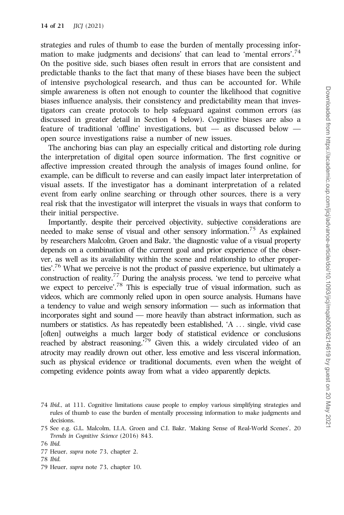strategies and rules of thumb to ease the burden of mentally processing information to make judgments and decisions' that can lead to 'mental errors'.<sup>74</sup> On the positive side, such biases often result in errors that are consistent and predictable thanks to the fact that many of these biases have been the subject of intensive psychological research, and thus can be accounted for. While simple awareness is often not enough to counter the likelihood that cognitive biases influence analysis, their consistency and predictability mean that investigators can create protocols to help safeguard against common errors (as discussed in greater detail in Section 4 below). Cognitive biases are also a feature of traditional 'offline' investigations, but — as discussed below open source investigations raise a number of new issues.

The anchoring bias can play an especially critical and distorting role during the interpretation of digital open source information. The first cognitive or affective impression created through the analysis of images found online, for example, can be difficult to reverse and can easily impact later interpretation of visual assets. If the investigator has a dominant interpretation of a related event from early online searching or through other sources, there is a very real risk that the investigator will interpret the visuals in ways that conform to their initial perspective.

Importantly, despite their perceived objectivity, subjective considerations are needed to make sense of visual and other sensory information.75 As explained by researchers Malcolm, Groen and Bakr, 'the diagnostic value of a visual property depends on a combination of the current goal and prior experience of the observer, as well as its availability within the scene and relationship to other properties'.76 What we perceive is not the product of passive experience, but ultimately a construction of reality.<sup>77</sup> During the analysis process, 'we tend to perceive what we expect to perceive'.78 This is especially true of visual information, such as videos, which are commonly relied upon in open source analysis. Humans have a tendency to value and weigh sensory information — such as information that incorporates sight and sound — more heavily than abstract information, such as numbers or statistics. As has repeatedly been established, 'A ... single, vivid case [often] outweighs a much larger body of statistical evidence or conclusions reached by abstract reasoning.'79 Given this, a widely circulated video of an atrocity may readily drown out other, less emotive and less visceral information, such as physical evidence or traditional documents, even when the weight of competing evidence points away from what a video apparently depicts.

- 77 Heuer, supra note 73, chapter 2.
- 78 Ibid.
- 79 Heuer, supra note 73, chapter 10.

<sup>74</sup> Ibid., at 111. Cognitive limitations cause people to employ various simplifying strategies and rules of thumb to ease the burden of mentally processing information to make judgments and decisions.

<sup>75</sup> See e.g. G.L. Malcolm, I.I.A. Groen and C.I. Bakr, 'Making Sense of Real-World Scenes', 20 Trends in Cognitive Science (2016) 843.

<sup>76</sup> Ibid.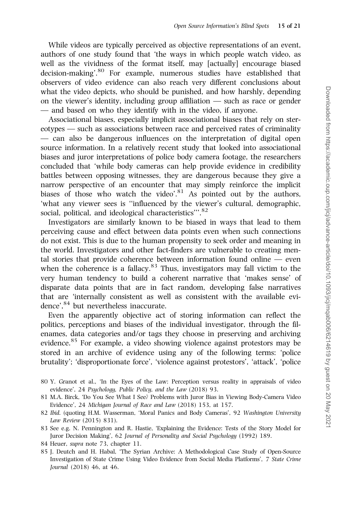While videos are typically perceived as objective representations of an event, authors of one study found that 'the ways in which people watch video, as well as the vividness of the format itself, may [actually] encourage biased decision-making'.<sup>80</sup> For example, numerous studies have established that observers of video evidence can also reach very different conclusions about what the video depicts, who should be punished, and how harshly, depending on the viewer's identity, including group affiliation — such as race or gender — and based on who they identify with in the video, if anyone.

Associational biases, especially implicit associational biases that rely on stereotypes — such as associations between race and perceived rates of criminality — can also be dangerous influences on the interpretation of digital open source information. In a relatively recent study that looked into associational biases and juror interpretations of police body camera footage, the researchers concluded that 'while body cameras can help provide evidence in credibility battles between opposing witnesses, they are dangerous because they give a narrow perspective of an encounter that may simply reinforce the implicit biases of those who watch the video'.<sup>81</sup> As pointed out by the authors, 'what any viewer sees is ''influenced by the viewer's cultural, demographic, social, political, and ideological characteristics".<sup>82</sup>

Investigators are similarly known to be biased in ways that lead to them perceiving cause and effect between data points even when such connections do not exist. This is due to the human propensity to seek order and meaning in the world. Investigators and other fact-finders are vulnerable to creating mental stories that provide coherence between information found online — even when the coherence is a fallacy. $83$  Thus, investigators may fall victim to the very human tendency to build a coherent narrative that 'makes sense' of disparate data points that are in fact random, developing false narratives that are 'internally consistent as well as consistent with the available evidence',<sup>84</sup> but nevertheless inaccurate.

Even the apparently objective act of storing information can reflect the politics, perceptions and biases of the individual investigator, through the filenames, data categories and/or tags they choose in preserving and archiving evidence.<sup>85</sup> For example, a video showing violence against protestors may be stored in an archive of evidence using any of the following terms: 'police brutality'; 'disproportionate force', 'violence against protestors', 'attack', 'police

- 80 Y. Granot et al., 'In the Eyes of the Law: Perception versus reality in appraisals of video evidence', 24 Psychology, Public Policy, and the Law (2018) 93.
- 81 M.A. Birck, 'Do You See What I See? Problems with Juror Bias in Viewing Body-Camera Video Evidence', 24 Michigan Journal of Race and Law (2018) 153, at 157.
- 82 Ibid. (quoting H.M. Wasserman, 'Moral Panics and Body Cameras', 92 Washington University Law Review (2015) 831).
- 83 See e.g. N. Pennington and R. Hastie, 'Explaining the Evidence: Tests of the Story Model for Juror Decision Making', 62 Journal of Personality and Social Psychology (1992) 189.
- 84 Heuer, supra note 73, chapter 11.
- 85 J. Deutch and H. Habal, 'The Syrian Archive: A Methodological Case Study of Open-Source Investigation of State Crime Using Video Evidence from Social Media Platforms', 7 State Crime Journal (2018) 46, at 46.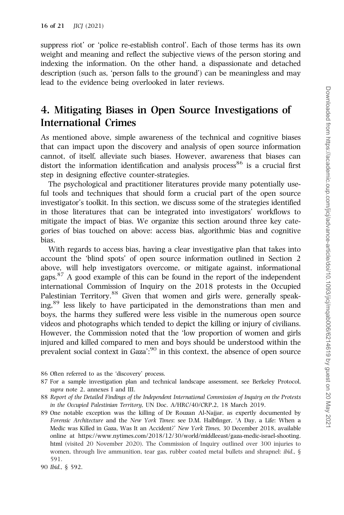suppress riot' or 'police re-establish control'. Each of those terms has its own weight and meaning and reflect the subjective views of the person storing and indexing the information. On the other hand, a dispassionate and detached description (such as, 'person falls to the ground') can be meaningless and may lead to the evidence being overlooked in later reviews.

# 4. Mitigating Biases in Open Source Investigations of International Crimes

As mentioned above, simple awareness of the technical and cognitive biases that can impact upon the discovery and analysis of open source information cannot, of itself, alleviate such biases. However, awareness that biases can distort the information identification and analysis process<sup>86</sup> is a crucial first step in designing effective counter-strategies.

The psychological and practitioner literatures provide many potentially useful tools and techniques that should form a crucial part of the open source investigator's toolkit. In this section, we discuss some of the strategies identified in those literatures that can be integrated into investigators' workflows to mitigate the impact of bias. We organize this section around three key categories of bias touched on above: access bias, algorithmic bias and cognitive bias.

With regards to access bias, having a clear investigative plan that takes into account the 'blind spots' of open source information outlined in Section 2 above, will help investigators overcome, or mitigate against, informational gaps. $87$  A good example of this can be found in the report of the independent international Commission of Inquiry on the 2018 protests in the Occupied Palestinian Territory.<sup>88</sup> Given that women and girls were, generally speaking,89 less likely to have participated in the demonstrations than men and boys, the harms they suffered were less visible in the numerous open source videos and photographs which tended to depict the killing or injury of civilians. However, the Commission noted that the 'low proportion of women and girls injured and killed compared to men and boys should be understood within the prevalent social context in Gaza':<sup>90</sup> in this context, the absence of open source

<sup>86</sup> Often referred to as the 'discovery' process.

<sup>87</sup> For a sample investigation plan and technical landscape assessment, see Berkeley Protocol, supra note 2, annexes I and III.

<sup>88</sup> Report of the Detailed Findings of the Independent International Commission of Inquiry on the Protests in the Occupied Palestinian Territory, UN Doc. A/HRC/40/CRP.2, 18 March 2019.

<sup>89</sup> One notable exception was the killing of Dr Rouzan Al-Najjar, as expertly documented by Forensic Architecture and the New York Times: see D.M. Halbfinger, 'A Day, a Life: When a Medic was Killed in Gaza, Was It an Accident?' New York Times, 30 December 2018, available online at [https://www.nytimes.com/2018/12/30/world/middleeast/gaza-medic-israel-shooting.](https://www.nytimes.com/2018/12/30/world/middleeast/gaza-medic-israel-shooting.html) [html](https://www.nytimes.com/2018/12/30/world/middleeast/gaza-medic-israel-shooting.html) (visited 20 November 2020). The Commission of Inquiry outlined over 300 injuries to women, through live ammunition, tear gas, rubber coated metal bullets and shrapnel: ibid., § 591.

<sup>90</sup> Ibid., § 592.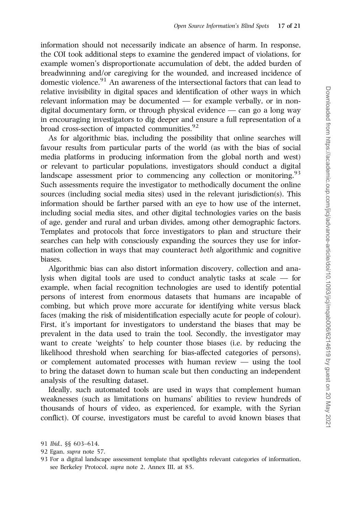information should not necessarily indicate an absence of harm. In response, the COI took additional steps to examine the gendered impact of violations, for example women's disproportionate accumulation of debt, the added burden of breadwinning and/or caregiving for the wounded, and increased incidence of domestic violence. $91$  An awareness of the intersectional factors that can lead to relative invisibility in digital spaces and identification of other ways in which relevant information may be documented — for example verbally, or in nondigital documentary form, or through physical evidence — can go a long way in encouraging investigators to dig deeper and ensure a full representation of a broad cross-section of impacted communities.<sup>92</sup>

As for algorithmic bias, including the possibility that online searches will favour results from particular parts of the world (as with the bias of social media platforms in producing information from the global north and west) or relevant to particular populations, investigators should conduct a digital landscape assessment prior to commencing any collection or monitoring.<sup>93</sup> Such assessments require the investigator to methodically document the online sources (including social media sites) used in the relevant jurisdiction(s). This information should be farther parsed with an eye to how use of the internet, including social media sites, and other digital technologies varies on the basis of age, gender and rural and urban divides, among other demographic factors. Templates and protocols that force investigators to plan and structure their searches can help with consciously expanding the sources they use for information collection in ways that may counteract both algorithmic and cognitive biases.

Algorithmic bias can also distort information discovery, collection and analysis when digital tools are used to conduct analytic tasks at scale — for example, when facial recognition technologies are used to identify potential persons of interest from enormous datasets that humans are incapable of combing, but which prove more accurate for identifying white versus black faces (making the risk of misidentification especially acute for people of colour). First, it's important for investigators to understand the biases that may be prevalent in the data used to train the tool. Secondly, the investigator may want to create 'weights' to help counter those biases (i.e. by reducing the likelihood threshold when searching for bias-affected categories of persons), or complement automated processes with human review — using the tool to bring the dataset down to human scale but then conducting an independent analysis of the resulting dataset.

Ideally, such automated tools are used in ways that complement human weaknesses (such as limitations on humans' abilities to review hundreds of thousands of hours of video, as experienced, for example, with the Syrian conflict). Of course, investigators must be careful to avoid known biases that

<sup>91</sup> Ibid., §§ 603–614.

<sup>92</sup> Egan, supra note 57.

<sup>93</sup> For a digital landscape assessment template that spotlights relevant categories of information, see Berkeley Protocol, supra note 2, Annex III, at 85.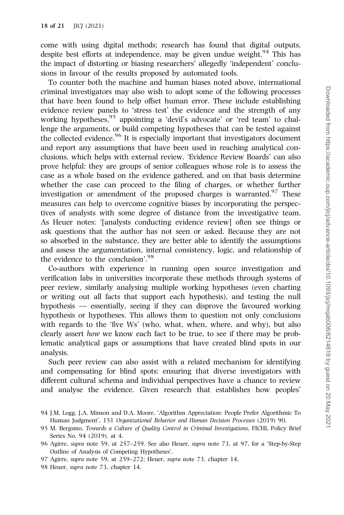come with using digital methods; research has found that digital outputs, despite best efforts at independence, may be given undue weight.<sup>94</sup> This has the impact of distorting or biasing researchers' allegedly 'independent' conclusions in favour of the results proposed by automated tools.

To counter both the machine and human biases noted above, international criminal investigators may also wish to adopt some of the following processes that have been found to help offset human error. These include establishing evidence review panels to 'stress test' the evidence and the strength of any working hypotheses,<sup>95</sup> appointing a 'devil's advocate' or 'red team' to challenge the arguments, or build competing hypotheses that can be tested against the collected evidence.<sup>96</sup> It is especially important that investigators document and report any assumptions that have been used in reaching analytical conclusions, which helps with external review. 'Evidence Review Boards' can also prove helpful: they are groups of senior colleagues whose role is to assess the case as a whole based on the evidence gathered, and on that basis determine whether the case can proceed to the filing of charges, or whether further investigation or amendment of the proposed charges is warranted.<sup>97</sup> These measures can help to overcome cognitive biases by incorporating the perspectives of analysts with some degree of distance from the investigative team. As Heuer notes: '[analysts conducting evidence review] often see things or ask questions that the author has not seen or asked. Because they are not so absorbed in the substance, they are better able to identify the assumptions and assess the argumentation, internal consistency, logic, and relationship of the evidence to the conclusion'.98

Co-authors with experience in running open source investigation and verification labs in universities incorporate these methods through systems of peer review, similarly analysing multiple working hypotheses (even charting or writing out all facts that support each hypothesis), and testing the null hypothesis — essentially, seeing if they can disprove the favoured working hypothesis or hypotheses. This allows them to question not only conclusions with regards to the 'five Ws' (who, what, when, where, and why), but also clearly assert how we know each fact to be true, to see if there may be problematic analytical gaps or assumptions that have created blind spots in our analysis.

Such peer review can also assist with a related mechanism for identifying and compensating for blind spots: ensuring that diverse investigators with different cultural schema and individual perspectives have a chance to review and analyse the evidence. Given research that establishes how peoples'

<sup>94</sup> J.M. Logg, J.A. Minson and D.A. Moore, 'Algorithm Appreciation: People Prefer Algorithmic To Human Judgment', 151 Organizational Behavior and Human Decision Processes (2019) 90.

<sup>95</sup> M. Bergsmo, Towards a Culture of Quality Control in Criminal Investigations, FICHL Policy Brief Series No. 94 (2019), at 4.

<sup>96</sup> Agirre, supra note 59, at 257–259. See also Heuer, supra note 73, at 97, for a 'Step-by-Step Outline of Analysis of Competing Hypotheses'.

<sup>97</sup> Agirre, supra note 59, at 259–272; Heuer, supra note 73, chapter 14.

<sup>98</sup> Heuer, supra note 73, chapter 14.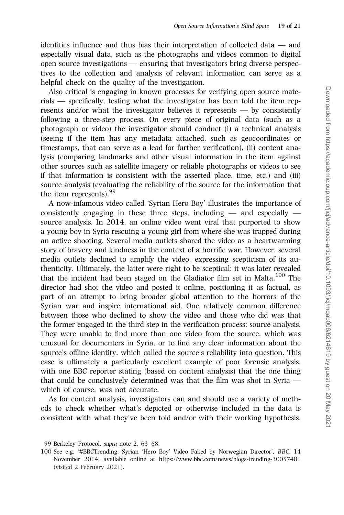identities influence and thus bias their interpretation of collected data — and especially visual data, such as the photographs and videos common to digital open source investigations — ensuring that investigators bring diverse perspectives to the collection and analysis of relevant information can serve as a helpful check on the quality of the investigation.

Also critical is engaging in known processes for verifying open source materials — specifically, testing what the investigator has been told the item represents and/or what the investigator believes it represents — by consistently following a three-step process. On every piece of original data (such as a photograph or video) the investigator should conduct (i) a technical analysis (seeing if the item has any metadata attached, such as geocoordinates or timestamps, that can serve as a lead for further verification), (ii) content analysis (comparing landmarks and other visual information in the item against other sources such as satellite imagery or reliable photographs or videos to see if that information is consistent with the asserted place, time, etc.) and (iii) source analysis (evaluating the reliability of the source for the information that the item represents).<sup>99</sup>

A now-infamous video called 'Syrian Hero Boy' illustrates the importance of consistently engaging in these three steps, including  $-$  and especially  $$ source analysis. In 2014, an online video went viral that purported to show a young boy in Syria rescuing a young girl from where she was trapped during an active shooting. Several media outlets shared the video as a heartwarming story of bravery and kindness in the context of a horrific war. However, several media outlets declined to amplify the video, expressing scepticism of its authenticity. Ultimately, the latter were right to be sceptical: it was later revealed that the incident had been staged on the Gladiator film set in Malta.<sup>100</sup> The director had shot the video and posted it online, positioning it as factual, as part of an attempt to bring broader global attention to the horrors of the Syrian war and inspire international aid. One relatively common difference between those who declined to show the video and those who did was that the former engaged in the third step in the verification process: source analysis. They were unable to find more than one video from the source, which was unusual for documenters in Syria, or to find any clear information about the source's offline identity, which called the source's reliability into question. This case is ultimately a particularly excellent example of poor forensic analysis, with one BBC reporter stating (based on content analysis) that the one thing that could be conclusively determined was that the film was shot in Syria which of course, was not accurate.

As for content analysis, investigators can and should use a variety of methods to check whether what's depicted or otherwise included in the data is consistent with what they've been told and/or with their working hypothesis.

<sup>99</sup> Berkeley Protocol, supra note 2, 63–68.

<sup>100</sup> See e.g. '#BBCTrending: Syrian 'Hero Boy' Video Faked by Norwegian Director', BBC, 14 November 2014, available online at<https://www.bbc.com/news/blogs-trending-30057401> (visited 2 February 2021).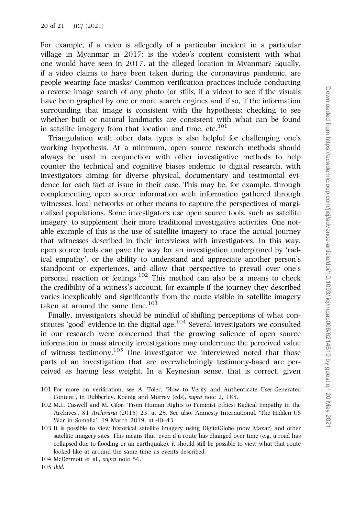For example, if a video is allegedly of a particular incident in a particular village in Myanmar in 2017: is the video's content consistent with what one would have seen in 2017, at the alleged location in Myanmar? Equally, if a video claims to have been taken during the coronavirus pandemic, are people wearing face masks? Common verification practices include conducting a reverse image search of any photo (or stills, if a video) to see if the visuals have been graphed by one or more search engines and if so, if the information surrounding that image is consistent with the hypothesis; checking to see whether built or natural landmarks are consistent with what can be found in satellite imagery from that location and time,  $etc.<sup>101</sup>$ 

Triangulation with other data types is also helpful for challenging one's working hypothesis. At a minimum, open source research methods should always be used in conjunction with other investigative methods to help counter the technical and cognitive biases endemic to digital research, with investigators aiming for diverse physical, documentary and testimonial evidence for each fact at issue in their case. This may be, for example, through complementing open source information with information gathered through witnesses, local networks or other means to capture the perspectives of marginalized populations. Some investigators use open source tools, such as satellite imagery, to supplement their more traditional investigative activities. One notable example of this is the use of satellite imagery to trace the actual journey that witnesses described in their interviews with investigators. In this way, open source tools can pave the way for an investigation underpinned by 'radical empathy', or the ability to understand and appreciate another person's standpoint or experiences, and allow that perspective to prevail over one's personal reaction or feelings.<sup>102</sup> This method can also be a means to check the credibility of a witness's account, for example if the journey they described varies inexplicably and significantly from the route visible in satellite imagery taken at around the same time.<sup>103</sup>

Finally, investigators should be mindful of shifting perceptions of what constitutes 'good' evidence in the digital age. $104$  Several investigators we consulted in our research were concerned that the growing salience of open source information in mass atrocity investigations may undermine the perceived value of witness testimony.<sup>105</sup> One investigator we interviewed noted that those parts of an investigation that are overwhelmingly testimony-based are perceived as having less weight. In a Keynesian sense, that is correct, given

- 101 For more on verification, see A. Toler, 'How to Verify and Authenticate User-Generated Content', in Dubberley, Koenig and Murray (eds), supra note 2, 185.
- 102 M.L. Caswell and M. Cifor, 'From Human Rights to Feminist Ethics: Radical Empathy in the Archives', 81 Archivaria (2016) 23, at 25. See also, Amnesty International, 'The Hidden US War in Somalia', 19 March 2019, at 40–43.
- 103 It is possible to view historical satellite imagery using DigitalGlobe (now Maxar) and other satellite imagery sites. This means that, even if a route has changed over time (e.g. a road has collapsed due to flooding or an earthquake), it should still be possible to view what that route looked like at around the same time as events described.

<sup>104</sup> McDermott et al., supra note 56.

<sup>105</sup> Ibid.